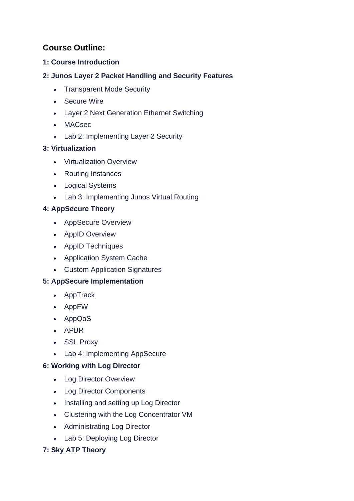# **Course Outline:**

## **1: Course Introduction**

## **2: Junos Layer 2 Packet Handling and Security Features**

- Transparent Mode Security
- Secure Wire
- Layer 2 Next Generation Ethernet Switching
- MACsec
- Lab 2: Implementing Layer 2 Security

#### **3: Virtualization**

- Virtualization Overview
- Routing Instances
- Logical Systems
- Lab 3: Implementing Junos Virtual Routing

## **4: AppSecure Theory**

- AppSecure Overview
- AppID Overview
- AppID Techniques
- Application System Cache
- Custom Application Signatures

# **5: AppSecure Implementation**

- AppTrack
- AppFW
- AppQoS
- APBR
- SSL Proxy
- Lab 4: Implementing AppSecure

#### **6: Working with Log Director**

- Log Director Overview
- Log Director Components
- Installing and setting up Log Director
- Clustering with the Log Concentrator VM
- Administrating Log Director
- Lab 5: Deploying Log Director

# **7: Sky ATP Theory**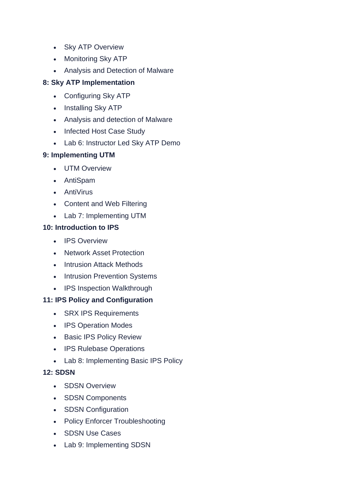- Sky ATP Overview
- Monitoring Sky ATP
- Analysis and Detection of Malware

## **8: Sky ATP Implementation**

- Configuring Sky ATP
- Installing Sky ATP
- Analysis and detection of Malware
- Infected Host Case Study
- Lab 6: Instructor Led Sky ATP Demo

#### **9: Implementing UTM**

- UTM Overview
- AntiSpam
- AntiVirus
- Content and Web Filtering
- Lab 7: Implementing UTM

#### **10: Introduction to IPS**

- IPS Overview
- Network Asset Protection
- Intrusion Attack Methods
- Intrusion Prevention Systems
- IPS Inspection Walkthrough

# **11: IPS Policy and Configuration**

- SRX IPS Requirements
- IPS Operation Modes
- Basic IPS Policy Review
- IPS Rulebase Operations
- Lab 8: Implementing Basic IPS Policy

# **12: SDSN**

- SDSN Overview
- SDSN Components
- SDSN Configuration
- Policy Enforcer Troubleshooting
- SDSN Use Cases
- Lab 9: Implementing SDSN